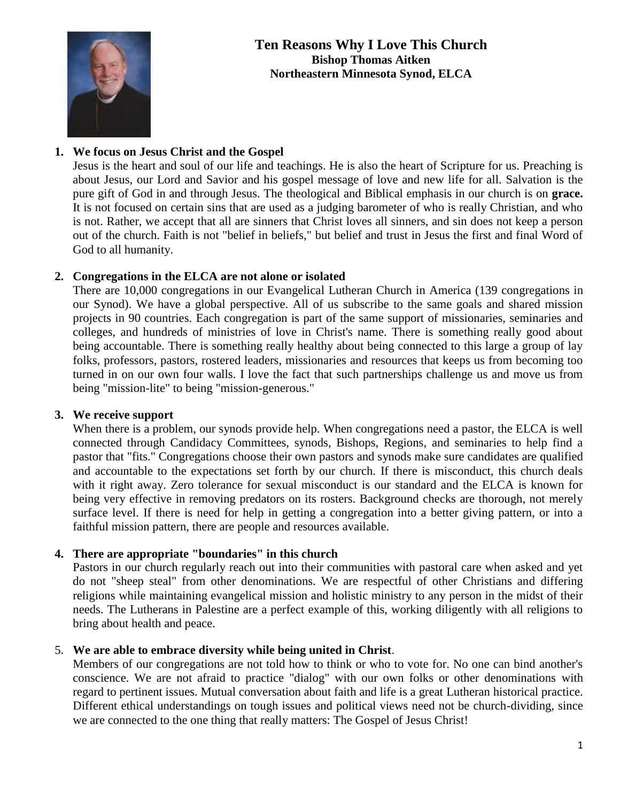

# **Ten Reasons Why I Love This Church Bishop Thomas Aitken Northeastern Minnesota Synod, ELCA**

# **1. We focus on Jesus Christ and the Gospel**

Jesus is the heart and soul of our life and teachings. He is also the heart of Scripture for us. Preaching is about Jesus, our Lord and Savior and his gospel message of love and new life for all. Salvation is the pure gift of God in and through Jesus. The theological and Biblical emphasis in our church is on **grace.** It is not focused on certain sins that are used as a judging barometer of who is really Christian, and who is not. Rather, we accept that all are sinners that Christ loves all sinners, and sin does not keep a person out of the church. Faith is not "belief in beliefs," but belief and trust in Jesus the first and final Word of God to all humanity.

## **2. Congregations in the ELCA are not alone or isolated**

There are 10,000 congregations in our Evangelical Lutheran Church in America (139 congregations in our Synod). We have a global perspective. All of us subscribe to the same goals and shared mission projects in 90 countries. Each congregation is part of the same support of missionaries, seminaries and colleges, and hundreds of ministries of love in Christ's name. There is something really good about being accountable. There is something really healthy about being connected to this large a group of lay folks, professors, pastors, rostered leaders, missionaries and resources that keeps us from becoming too turned in on our own four walls. I love the fact that such partnerships challenge us and move us from being "mission-lite" to being "mission-generous."

## **3. We receive support**

When there is a problem, our synods provide help. When congregations need a pastor, the ELCA is well connected through Candidacy Committees, synods, Bishops, Regions, and seminaries to help find a pastor that "fits." Congregations choose their own pastors and synods make sure candidates are qualified and accountable to the expectations set forth by our church. If there is misconduct, this church deals with it right away. Zero tolerance for sexual misconduct is our standard and the ELCA is known for being very effective in removing predators on its rosters. Background checks are thorough, not merely surface level. If there is need for help in getting a congregation into a better giving pattern, or into a faithful mission pattern, there are people and resources available.

## **4. There are appropriate "boundaries" in this church**

Pastors in our church regularly reach out into their communities with pastoral care when asked and yet do not "sheep steal" from other denominations. We are respectful of other Christians and differing religions while maintaining evangelical mission and holistic ministry to any person in the midst of their needs. The Lutherans in Palestine are a perfect example of this, working diligently with all religions to bring about health and peace.

## 5. **We are able to embrace diversity while being united in Christ**.

Members of our congregations are not told how to think or who to vote for. No one can bind another's conscience. We are not afraid to practice "dialog" with our own folks or other denominations with regard to pertinent issues. Mutual conversation about faith and life is a great Lutheran historical practice. Different ethical understandings on tough issues and political views need not be church-dividing, since we are connected to the one thing that really matters: The Gospel of Jesus Christ!